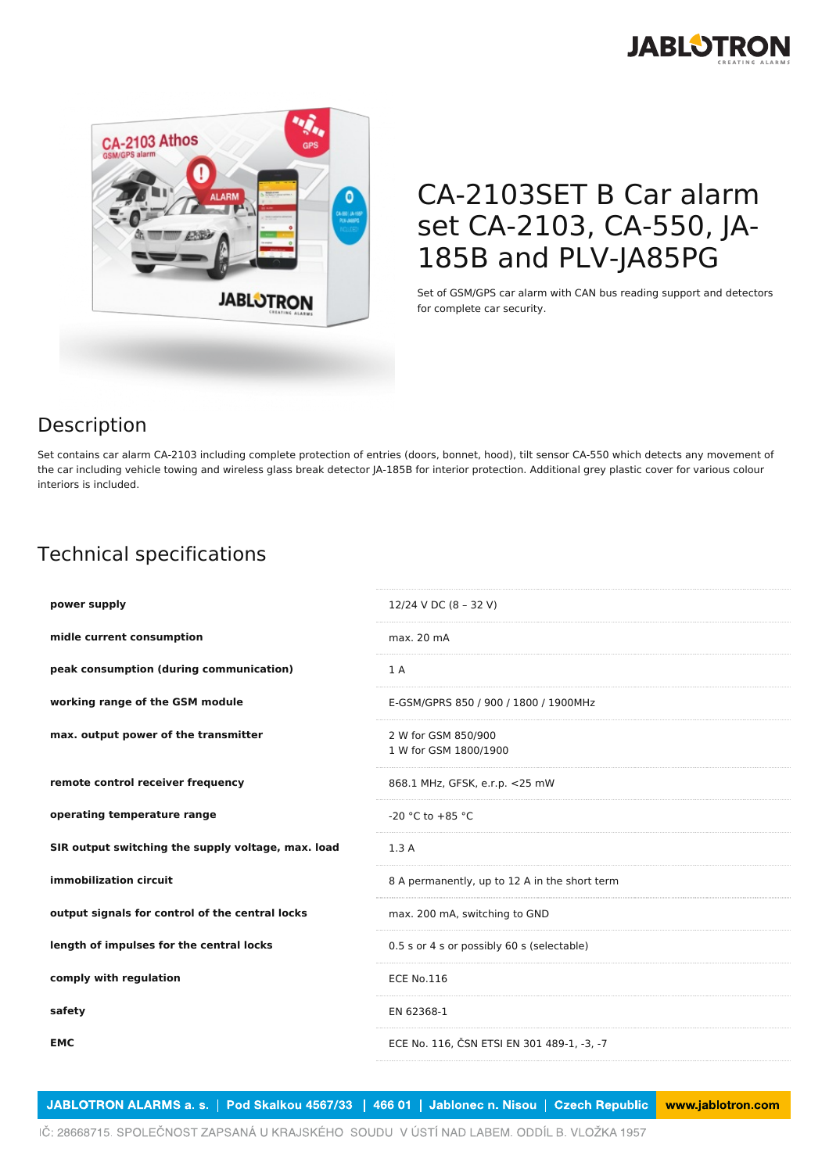



## CA-2103SET B Car alarm set CA-2103, CA-550, JA-185B and PLV-JA85PG

Set of GSM/GPS car alarm with CAN bus reading support and detectors for complete car security.

## Description

Set contains car alarm CA-2103 including complete protection of entries (doors, bonnet, hood), tilt sensor CA-550 which detects any movement of the car including vehicle towing and wireless glass break detector JA-185B for interior protection. Additional grey plastic cover for various colour interiors is included.

## Technical specifications

| power supply                                       | 12/24 V DC (8 - 32 V)                         |
|----------------------------------------------------|-----------------------------------------------|
| midle current consumption                          | max. 20 mA                                    |
| peak consumption (during communication)            | 1 A                                           |
| working range of the GSM module                    | E-GSM/GPRS 850 / 900 / 1800 / 1900MHz         |
| max. output power of the transmitter               | 2 W for GSM 850/900<br>1 W for GSM 1800/1900  |
| remote control receiver frequency                  | 868.1 MHz, GFSK, e.r.p. <25 mW                |
| operating temperature range                        | $-20$ °C to $+85$ °C                          |
| SIR output switching the supply voltage, max. load | 1.3A                                          |
| immobilization circuit                             | 8 A permanently, up to 12 A in the short term |
| output signals for control of the central locks    | max. 200 mA, switching to GND                 |
| length of impulses for the central locks           | 0.5 s or 4 s or possibly 60 s (selectable)    |
| comply with regulation                             | <b>ECE No.116</b>                             |
| safety                                             | EN 62368-1                                    |
| <b>EMC</b>                                         | ECE No. 116, ČSN ETSI EN 301 489-1, -3, -7    |
|                                                    |                                               |

JABLOTRON ALARMS a. s. | Pod Skalkou 4567/33 | 466 01 | Jablonec n. Nisou | Czech Republic www.jablotron.com